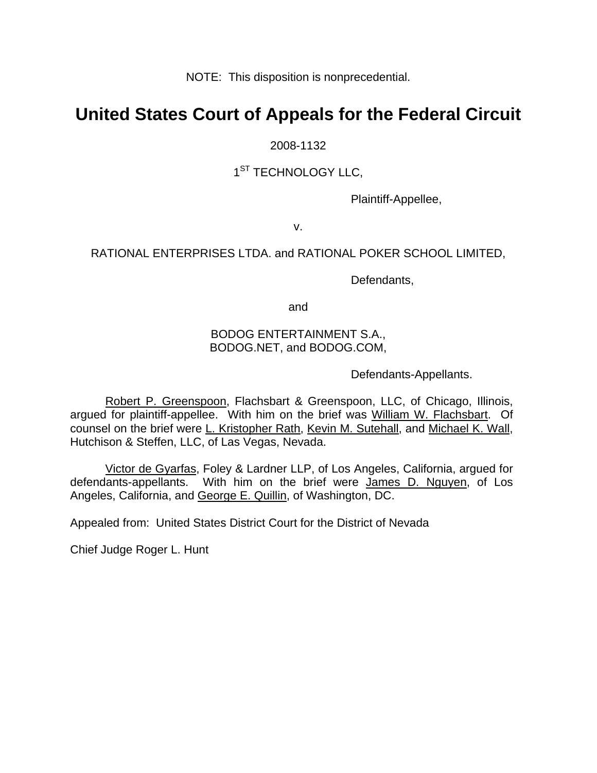NOTE: This disposition is nonprecedential.

# **United States Court of Appeals for the Federal Circuit**

2008-1132

### 1<sup>ST</sup> TECHNOLOGY LLC,

Plaintiff-Appellee,

v.

### RATIONAL ENTERPRISES LTDA. and RATIONAL POKER SCHOOL LIMITED,

Defendants,

and

#### BODOG ENTERTAINMENT S.A., BODOG.NET, and BODOG.COM,

Defendants-Appellants.

Robert P. Greenspoon, Flachsbart & Greenspoon, LLC, of Chicago, Illinois, argued for plaintiff-appellee. With him on the brief was William W. Flachsbart. Of counsel on the brief were L. Kristopher Rath, Kevin M. Sutehall, and Michael K. Wall, Hutchison & Steffen, LLC, of Las Vegas, Nevada.

Victor de Gyarfas, Foley & Lardner LLP, of Los Angeles, California, argued for defendants-appellants. With him on the brief were James D. Nguyen, of Los Angeles, California, and George E. Quillin, of Washington, DC.

Appealed from: United States District Court for the District of Nevada

Chief Judge Roger L. Hunt